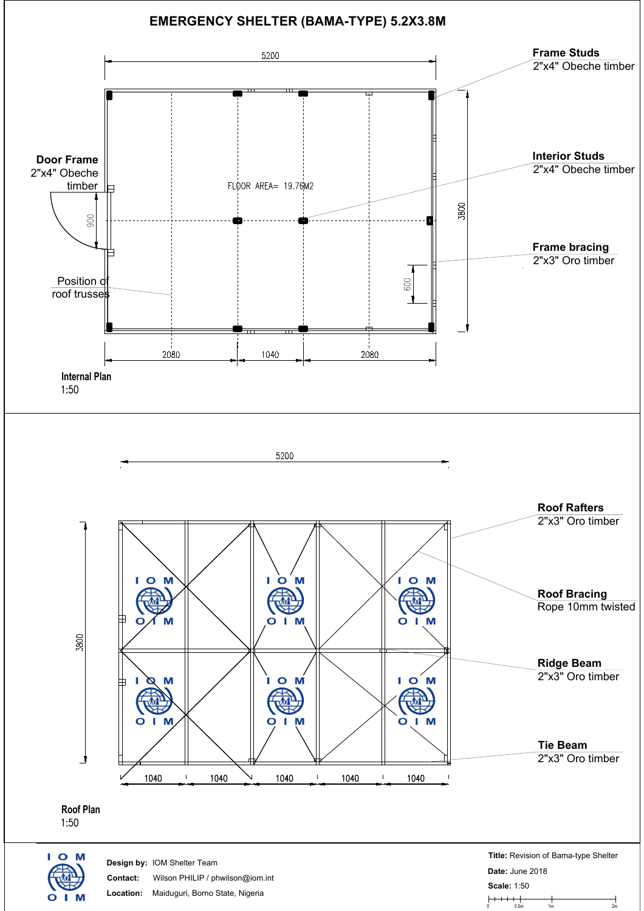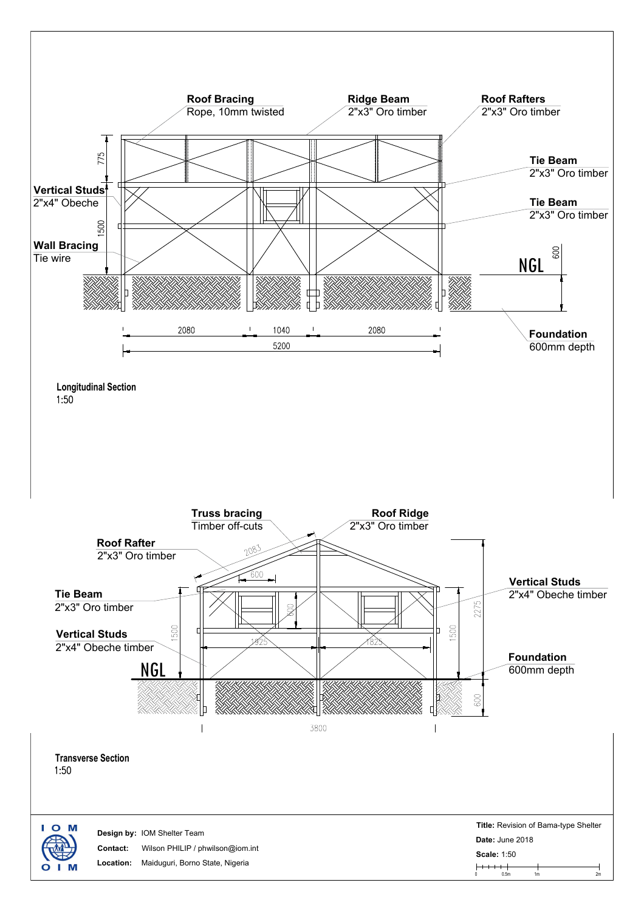